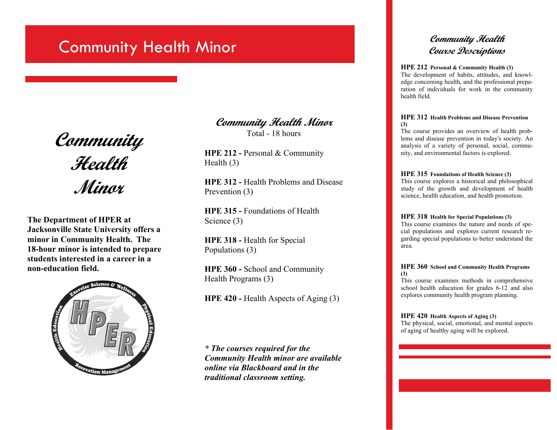# **Community Health Minor Community Health Minor**

**Community Health Minor** 

**The Department of HPER at Jacksonville State University offers a minor in Community Health. The 18-hour minor is intended to prepare students interested in a career in a non-education field.** 



**Community Health Minor**  Total - 18 hours

**HPE 212 - Personal & Community** Health (3)

**HPE 312 -** Health Problems and Disease Prevention (3)

**HPE 315 -** Foundations of Health Science (3)

**HPE 318 -** Health for Special Populations (3)

**HPE 360 -** School and Community Health Programs (3)

**HPE 420 - Health Aspects of Aging (3)** 

*\* The courses required for the Community Health minor are available online via Blackboard and in the traditional classroom setting.*

#### **HPE 212 Personal & Community Health (3)**

The development of habits, attitudes, and knowledge concerning health, and the professional preparation of individuals for work in the community health field.

#### **HPE 312 Health Problems and Disease Prevention (3)**

The course provides an overview of health problems and disease prevention in today's society. An analysis of a variety of personal, social, community, and environmental factors is explored.

#### **HPE 315 Foundations of Health Science (3)**

This course explores a historical and philosophical study of the growth and development of health science, health education, and health promotion.

#### **HPE 318 Health for Special Populations (3)**

This course examines the nature and needs of special populations and explores current research regarding special populations to better understand the area.

#### **HPE 360 School and Community Health Programs (3)**

This course examines methods in comprehensive school health education for grades 6-12 and also explores community health program planning.

#### **HPE 420 Health Aspects of Aging (3)**

The physical, social, emotional, and mental aspects of aging of healthy aging will be explored.